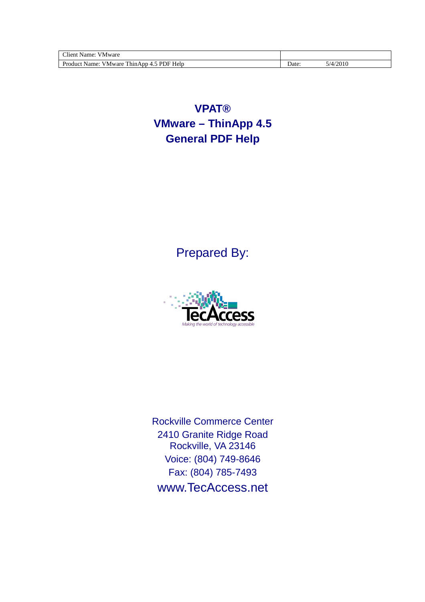| Mware<br>'liem<br>Aamer,                                                    |       |       |
|-----------------------------------------------------------------------------|-------|-------|
| Help<br>DI<br>$Dr_{\Omega}$<br>Name.<br>Aware.<br>DF.<br>UΝ<br>111114<br>[. | Date: | /2010 |

**VPAT® VMware – ThinApp 4.5 General PDF Help** 

Prepared By:



Rockville Commerce Center 2410 Granite Ridge Road Rockville, VA 23146 Voice: (804) 749-8646 Fax: (804) 785-7493 www.TecAccess.net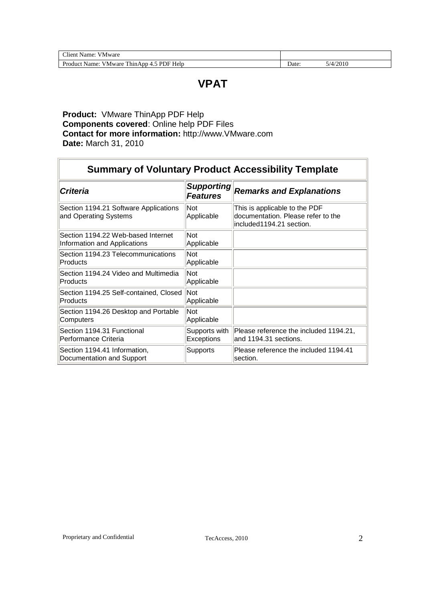| Client<br>VMware<br>Name:                             |       |          |
|-------------------------------------------------------|-------|----------|
| Product Name:<br>PDF<br>Help<br>ThinApp 4.5<br>VMware | ⊅ate: | 5/4/2010 |

## **VPAT**

#### **Product:** VMware ThinApp PDF Help **Components covered**: Online help PDF Files **Contact for more information:** http://www.VMware.com **Date:** March 31, 2010

|                                                                    |                                      | <b>Summary of Voluntary Product Accessibility Template</b>                                      |
|--------------------------------------------------------------------|--------------------------------------|-------------------------------------------------------------------------------------------------|
| <b>Criteria</b>                                                    | <b>Supporting</b><br><b>Features</b> | <b>Remarks and Explanations</b>                                                                 |
| Section 1194.21 Software Applications<br>and Operating Systems     | <b>Not</b><br>Applicable             | This is applicable to the PDF<br>documentation. Please refer to the<br>included1194.21 section. |
| Section 1194.22 Web-based Internet<br>Information and Applications | Not<br>Applicable                    |                                                                                                 |
| Section 1194.23 Telecommunications<br>Products                     | Not<br>Applicable                    |                                                                                                 |
| Section 1194.24 Video and Multimedia<br>Products                   | Not<br>Applicable                    |                                                                                                 |
| Section 1194.25 Self-contained, Closed<br>Products                 | <b>Not</b><br>Applicable             |                                                                                                 |
| Section 1194.26 Desktop and Portable<br>Computers                  | Not<br>Applicable                    |                                                                                                 |
| Section 1194.31 Functional<br>Performance Criteria                 | Supports with<br>Exceptions          | Please reference the included 1194.21,<br>and 1194.31 sections.                                 |
| Section 1194.41 Information,<br>Documentation and Support          | Supports                             | Please reference the included 1194.41<br>section.                                               |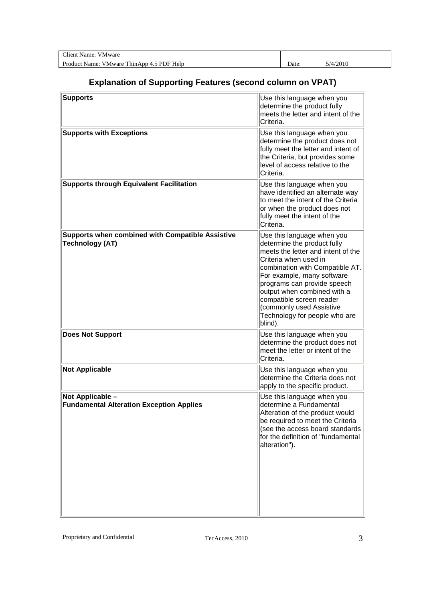| $\sim$<br>Name:<br>V Mware<br>'lieni'                                   |       |       |
|-------------------------------------------------------------------------|-------|-------|
| Produci<br>DI<br>DF.<br>Help<br>Name:<br>Mware<br>ำา<br>. 111117<br>. . | Date: | /2010 |

## **Explanation of Supporting Features (second column on VPAT)**

| <b>Supports</b>                                                                   | Use this language when you<br>determine the product fully<br>meets the letter and intent of the<br>Criteria.                                                                                                                                                                                                                                                |
|-----------------------------------------------------------------------------------|-------------------------------------------------------------------------------------------------------------------------------------------------------------------------------------------------------------------------------------------------------------------------------------------------------------------------------------------------------------|
| <b>Supports with Exceptions</b>                                                   | Use this language when you<br>determine the product does not<br>fully meet the letter and intent of<br>the Criteria, but provides some<br>level of access relative to the<br>Criteria.                                                                                                                                                                      |
| <b>Supports through Equivalent Facilitation</b>                                   | Use this language when you<br>have identified an alternate way<br>to meet the intent of the Criteria<br>or when the product does not<br>fully meet the intent of the<br>Criteria.                                                                                                                                                                           |
| <b>Supports when combined with Compatible Assistive</b><br><b>Technology (AT)</b> | Use this language when you<br>determine the product fully<br>meets the letter and intent of the<br>Criteria when used in<br>combination with Compatible AT.<br>For example, many software<br>programs can provide speech<br>output when combined with a<br>compatible screen reader<br>(commonly used Assistive<br>Technology for people who are<br>blind). |
| <b>Does Not Support</b>                                                           | Use this language when you<br>determine the product does not<br>meet the letter or intent of the<br>Criteria.                                                                                                                                                                                                                                               |
| <b>Not Applicable</b>                                                             | Use this language when you<br>determine the Criteria does not<br>apply to the specific product.                                                                                                                                                                                                                                                             |
| Not Applicable -<br><b>Fundamental Alteration Exception Applies</b>               | Use this language when you<br>determine a Fundamental<br>Alteration of the product would<br>be required to meet the Criteria<br>(see the access board standards<br>for the definition of "fundamental<br>alteration").                                                                                                                                      |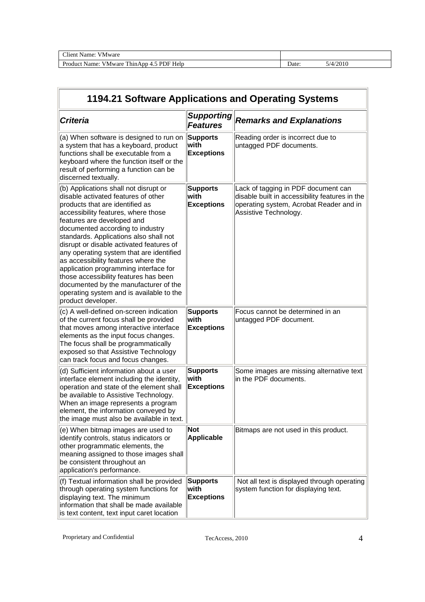| $C$ lion<br>/ Mware<br>.same<br>.                                                                  |      |        |
|----------------------------------------------------------------------------------------------------|------|--------|
| $\sim$<br>ות<br>$D_{\nu\sigma}$<br>DΕ<br>Jame.<br>ำาท<br>Help<br>ware<br>$\sim$<br>M<br>∍าบ⊾<br>[. | Jate | 10.010 |

|                                                                                                                                                                                                                                                                                                                                                                                                                                                                                                                                                                                                |                                               | 1194.21 Software Applications and Operating Systems                                                                                                       |
|------------------------------------------------------------------------------------------------------------------------------------------------------------------------------------------------------------------------------------------------------------------------------------------------------------------------------------------------------------------------------------------------------------------------------------------------------------------------------------------------------------------------------------------------------------------------------------------------|-----------------------------------------------|-----------------------------------------------------------------------------------------------------------------------------------------------------------|
| <b>Criteria</b>                                                                                                                                                                                                                                                                                                                                                                                                                                                                                                                                                                                | <b>Supporting</b><br><b>Features</b>          | <b>Remarks and Explanations</b>                                                                                                                           |
| (a) When software is designed to run on<br>a system that has a keyboard, product<br>functions shall be executable from a<br>keyboard where the function itself or the<br>result of performing a function can be<br>discerned textually.                                                                                                                                                                                                                                                                                                                                                        | <b>Supports</b><br>with<br><b>Exceptions</b>  | Reading order is incorrect due to<br>untagged PDF documents.                                                                                              |
| (b) Applications shall not disrupt or<br>disable activated features of other<br>products that are identified as<br>accessibility features, where those<br>features are developed and<br>documented according to industry<br>standards. Applications also shall not<br>disrupt or disable activated features of<br>any operating system that are identified<br>as accessibility features where the<br>application programming interface for<br>those accessibility features has been<br>documented by the manufacturer of the<br>operating system and is available to the<br>product developer. | <b>Supports</b><br>with<br><b>Exceptions</b>  | Lack of tagging in PDF document can<br>disable built in accessibility features in the<br>operating system, Acrobat Reader and in<br>Assistive Technology. |
| (c) A well-defined on-screen indication<br>of the current focus shall be provided<br>that moves among interactive interface<br>elements as the input focus changes.<br>The focus shall be programmatically<br>exposed so that Assistive Technology<br>can track focus and focus changes.                                                                                                                                                                                                                                                                                                       | <b>Supports</b><br>with<br><b>Exceptions</b>  | Focus cannot be determined in an<br>untagged PDF document.                                                                                                |
| (d) Sufficient information about a user<br>interface element including the identity,<br>operation and state of the element shall<br>be available to Assistive Technology.<br>When an image represents a program<br>element, the information conveyed by<br>the image must also be available in text.                                                                                                                                                                                                                                                                                           | <b>Supports</b><br>with<br><b>Exceptions</b>  | Some images are missing alternative text<br>in the PDF documents.                                                                                         |
| (e) When bitmap images are used to<br>identify controls, status indicators or<br>other programmatic elements, the<br>meaning assigned to those images shall<br>be consistent throughout an<br>application's performance.                                                                                                                                                                                                                                                                                                                                                                       | Not<br>Applicable                             | Bitmaps are not used in this product.                                                                                                                     |
| (f) Textual information shall be provided<br>through operating system functions for<br>displaying text. The minimum<br>information that shall be made available<br>is text content, text input caret location                                                                                                                                                                                                                                                                                                                                                                                  | <b>Supports</b><br>lwith<br><b>Exceptions</b> | Not all text is displayed through operating<br>system function for displaying text.                                                                       |

 $\mathbb{F}$ 

 $\overline{a}$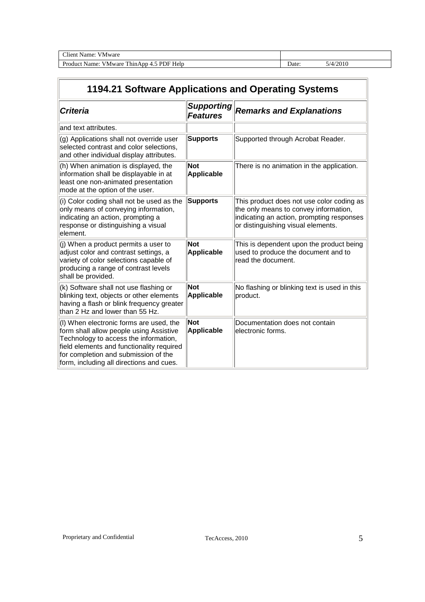| $\sim$<br>110r<br>Mwar<br>ame<br>ы                                   |      |               |
|----------------------------------------------------------------------|------|---------------|
| $\mathbf{v}$<br>D<br>مصول<br>ware<br>teln<br>в. <i>п</i><br>. .<br>. | Jate | $\sim$<br>,,, |

# **1194.21 Software Applications and Operating Systems**

| <b>Criteria</b>                                                                                                                                                                                                                                              | <b>Supporting</b><br><b>Features</b> | <b>Remarks and Explanations</b>                                                                                                                                       |
|--------------------------------------------------------------------------------------------------------------------------------------------------------------------------------------------------------------------------------------------------------------|--------------------------------------|-----------------------------------------------------------------------------------------------------------------------------------------------------------------------|
| and text attributes.                                                                                                                                                                                                                                         |                                      |                                                                                                                                                                       |
| (g) Applications shall not override user<br>selected contrast and color selections,<br>and other individual display attributes.                                                                                                                              | <b>Supports</b>                      | Supported through Acrobat Reader.                                                                                                                                     |
| (h) When animation is displayed, the<br>information shall be displayable in at<br>least one non-animated presentation<br>mode at the option of the user.                                                                                                     | <b>Not</b><br>Applicable             | There is no animation in the application.                                                                                                                             |
| (i) Color coding shall not be used as the<br>only means of conveying information,<br>indicating an action, prompting a<br>response or distinguishing a visual<br>element.                                                                                    | <b>Supports</b>                      | This product does not use color coding as<br>the only means to convey information,<br>indicating an action, prompting responses<br>or distinguishing visual elements. |
| (i) When a product permits a user to<br>adjust color and contrast settings, a<br>variety of color selections capable of<br>producing a range of contrast levels<br>shall be provided.                                                                        | Not<br>Applicable                    | This is dependent upon the product being<br>used to produce the document and to<br>read the document.                                                                 |
| (k) Software shall not use flashing or<br>blinking text, objects or other elements<br>having a flash or blink frequency greater<br>than 2 Hz and lower than 55 Hz.                                                                                           | <b>Not</b><br>Applicable             | No flashing or blinking text is used in this<br>broduct.                                                                                                              |
| (I) When electronic forms are used, the<br>form shall allow people using Assistive<br>Technology to access the information,<br>field elements and functionality required<br>for completion and submission of the<br>form, including all directions and cues. | <b>Not</b><br>Applicable             | Documentation does not contain<br>lelectronic forms.                                                                                                                  |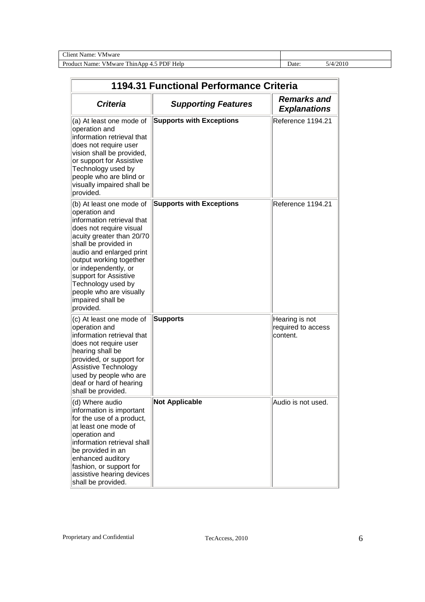Client Name: VMware

Product Name: VMware ThinApp 4.5 PDF Help Date: 5/4/2010

|                                                                                                                                                                                                                                                                                                                                                    | 1194.31 Functional Performance Criteria |                                                  |
|----------------------------------------------------------------------------------------------------------------------------------------------------------------------------------------------------------------------------------------------------------------------------------------------------------------------------------------------------|-----------------------------------------|--------------------------------------------------|
| <b>Criteria</b>                                                                                                                                                                                                                                                                                                                                    | <b>Supporting Features</b>              | <b>Remarks and</b><br><b>Explanations</b>        |
| (a) At least one mode of<br>operation and<br>information retrieval that<br>does not require user<br>vision shall be provided,<br>or support for Assistive<br>Technology used by<br>people who are blind or<br>visually impaired shall be<br>provided.                                                                                              | <b>Supports with Exceptions</b>         | Reference 1194.21                                |
| (b) At least one mode of<br>operation and<br>information retrieval that<br>does not require visual<br>acuity greater than 20/70<br>shall be provided in<br>audio and enlarged print<br>output working together<br>or independently, or<br>support for Assistive<br>Technology used by<br>people who are visually<br>impaired shall be<br>provided. | <b>Supports with Exceptions</b>         | Reference 1194.21                                |
| (c) At least one mode of<br>operation and<br>information retrieval that<br>does not require user<br>hearing shall be<br>provided, or support for<br>Assistive Technology<br>used by people who are<br>deaf or hard of hearing<br>shall be provided.                                                                                                | <b>Supports</b>                         | Hearing is not<br>required to access<br>content. |
| (d) Where audio<br>information is important<br>for the use of a product,<br>at least one mode of<br>operation and<br>information retrieval shall<br>be provided in an<br>enhanced auditory<br>fashion, or support for<br>assistive hearing devices<br>shall be provided.                                                                           | <b>Not Applicable</b>                   | Audio is not used.                               |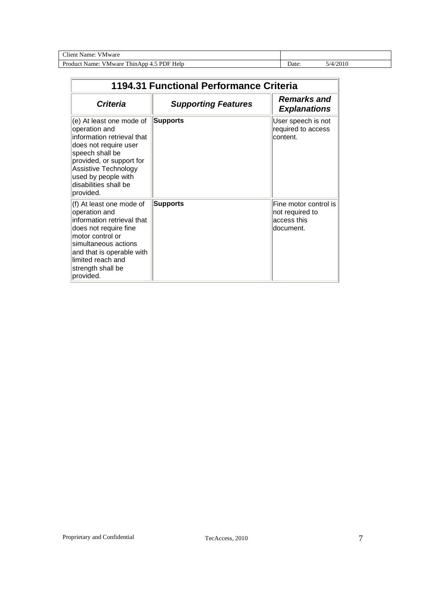Client Name: VMware

Product Name: VMware ThinApp 4.5 PDF Help Date: 5/4/2010

| 1194.31 Functional Performance Criteria                                                                                                                                                                                              |                            |                                                                       |
|--------------------------------------------------------------------------------------------------------------------------------------------------------------------------------------------------------------------------------------|----------------------------|-----------------------------------------------------------------------|
| <b>Criteria</b>                                                                                                                                                                                                                      | <b>Supporting Features</b> | <b>Remarks and</b><br><b>Explanations</b>                             |
| (e) At least one mode of<br>operation and<br>information retrieval that<br>does not require user<br>speech shall be<br>provided, or support for<br>Assistive Technology<br>used by people with<br>disabilities shall be<br>provided. | <b>Supports</b>            | User speech is not<br>required to access<br>content.                  |
| (f) At least one mode of<br>operation and<br>information retrieval that<br>does not require fine<br>motor control or<br>simultaneous actions<br>and that is operable with<br>limited reach and<br>strength shall be<br>provided.     | Supports                   | Fine motor control is<br>not required to<br>access this<br>ldocument. |